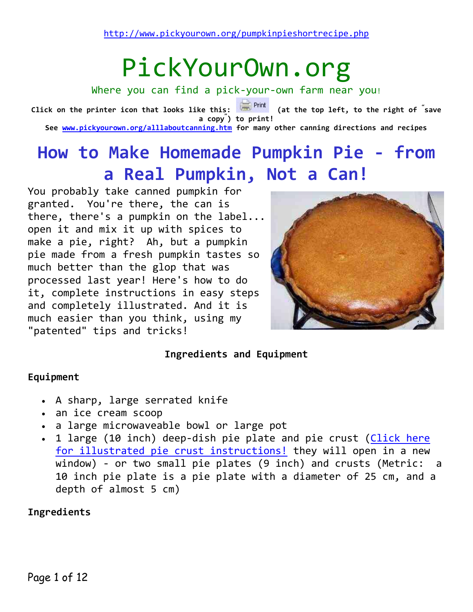# PickYourOwn.org

Where you can find a pick-your-own farm near you!

**Click on the printer icon that looks like this: (at the top left, to the right of " save a copy" ) to print! See [www.pickyourown.org/alllaboutcanning.htm](http://www.pickyourown.org/alllaboutcanning.htm) for many other canning directions and recipes**

# **How to Make Homemade Pumpkin Pie - from a Real Pumpkin, Not a Can!**

You probably take canned pumpkin for granted. You're there, the can is there, there's a pumpkin on the label... open it and mix it up with spices to make a pie, right? Ah, but a pumpkin pie made from a fresh pumpkin tastes so much better than the glop that was processed last year! Here's how to do it, complete instructions in easy steps and completely illustrated. And it is much easier than you think, using my "patented" tips and tricks!



### **Ingredients and Equipment**

### **Equipment**

- A sharp, large serrated knife
- an ice cream scoop
- a large microwaveable bowl or large pot
- 1 large (10 inch) deep-dish pie plate and pie crust (Click here [for illustrated pie crust instructions!](http://www.pickyourown.org/piecrust.php) they will open in a new window) - or two small pie plates (9 inch) and crusts (Metric: a 10 inch pie plate is a pie plate with a diameter of 25 cm, and a depth of almost 5 cm)

### **Ingredients**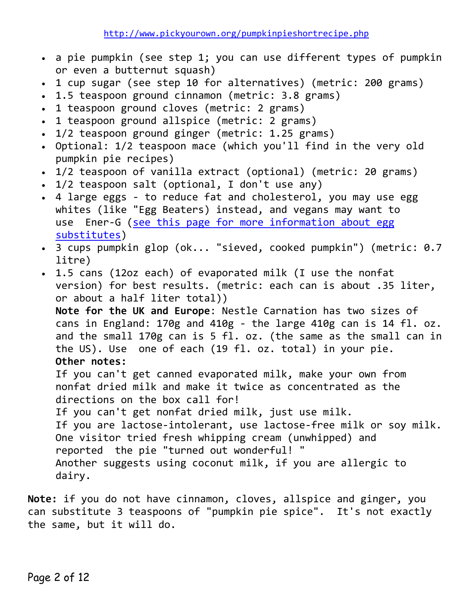- a pie pumpkin (see step 1; you can use different types of pumpkin or even a butternut squash)
- 1 cup sugar (see step 10 for alternatives) (metric: 200 grams)
- 1.5 teaspoon ground cinnamon (metric: 3.8 grams)
- 1 teaspoon ground cloves (metric: 2 grams)
- 1 teaspoon ground allspice (metric: 2 grams)
- 1/2 teaspoon ground ginger (metric: 1.25 grams)
- Optional: 1/2 teaspoon mace (which you'll find in the very old pumpkin pie recipes)
- 1/2 teaspoon of vanilla extract (optional) (metric: 20 grams)
- 1/2 teaspoon salt (optional, I don't use any)
- 4 large eggs to reduce fat and cholesterol, you may use egg whites (like "Egg Beaters) instead, and vegans may want to use Ener-G [\(see this page for more information about egg](http://www.pickyourown.org/egg-substitutes-howtomake.php)  [substitutes\)](http://www.pickyourown.org/egg-substitutes-howtomake.php)
- 3 cups pumpkin glop (ok... "sieved, cooked pumpkin") (metric: 0.7 litre)
- 1.5 cans (12oz each) of evaporated milk (I use the nonfat version) for best results. (metric: each can is about .35 liter, or about a half liter total)) **Note for the UK and Europe**: Nestle Carnation has two sizes of

cans in England: 170g and 410g - the large 410g can is 14 fl. oz. and the small 170g can is 5 fl. oz. (the same as the small can in the US). Use one of each (19 fl. oz. total) in your pie. **Other notes:**

If you can't get canned evaporated milk, make your own from nonfat dried milk and make it twice as concentrated as the directions on the box call for!

If you can't get nonfat dried milk, just use milk.

If you are lactose-intolerant, use lactose-free milk or soy milk. One visitor tried fresh whipping cream (unwhipped) and reported the pie "turned out wonderful! " Another suggests using coconut milk, if you are allergic to dairy.

**Note:** if you do not have cinnamon, cloves, allspice and ginger, you can substitute 3 teaspoons of "pumpkin pie spice". It's not exactly the same, but it will do.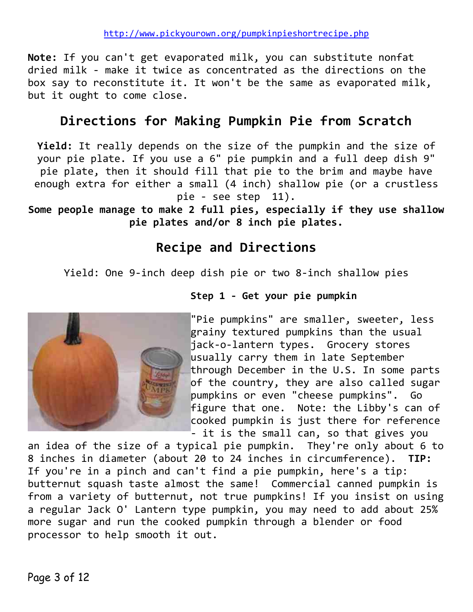**Note:** If you can't get evaporated milk, you can substitute nonfat dried milk - make it twice as concentrated as the directions on the box say to reconstitute it. It won't be the same as evaporated milk, but it ought to come close.

### **Directions for Making Pumpkin Pie from Scratch**

**Yield:** It really depends on the size of the pumpkin and the size of your pie plate. If you use a 6" pie pumpkin and a full deep dish 9" pie plate, then it should fill that pie to the brim and maybe have enough extra for either a small (4 inch) shallow pie (or a crustless pie - see step 11).

**Some people manage to make 2 full pies, especially if they use shallow pie plates and/or 8 inch pie plates.**

### **Recipe and Directions**

Yield: One 9-inch deep dish pie or two 8-inch shallow pies



### **Step 1 - Get your pie pumpkin**

"Pie pumpkins" are smaller, sweeter, less grainy textured pumpkins than the usual jack-o-lantern types. Grocery stores usually carry them in late September through December in the U.S. In some parts of the country, they are also called sugar pumpkins or even "cheese pumpkins". Go figure that one. Note: the Libby's can of cooked pumpkin is just there for reference  $\overline{\phantom{a}}$  - it is the small can, so that gives you

an idea of the size of a typical pie pumpkin. They're only about 6 to 8 inches in diameter (about 20 to 24 inches in circumference). **TIP:** If you're in a pinch and can't find a pie pumpkin, here's a tip: butternut squash taste almost the same! Commercial canned pumpkin is from a variety of butternut, not true pumpkins! If you insist on using a regular Jack O' Lantern type pumpkin, you may need to add about 25% more sugar and run the cooked pumpkin through a blender or food processor to help smooth it out.

Page 3 of 12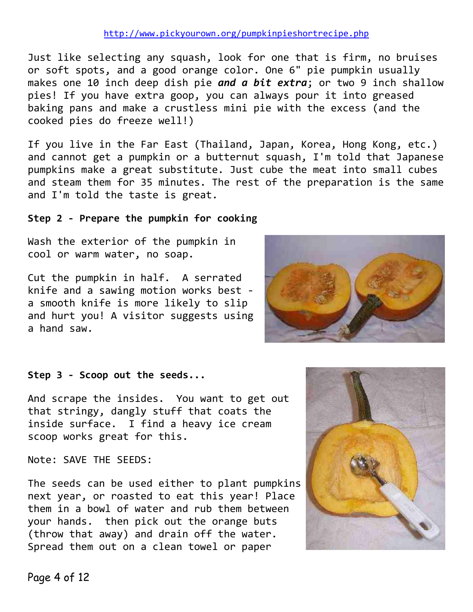Just like selecting any squash, look for one that is firm, no bruises or soft spots, and a good orange color. One 6" pie pumpkin usually makes one 10 inch deep dish pie *and a bit extra*; or two 9 inch shallow pies! If you have extra goop, you can always pour it into greased baking pans and make a crustless mini pie with the excess (and the cooked pies do freeze well!)

If you live in the Far East (Thailand, Japan, Korea, Hong Kong, etc.) and cannot get a pumpkin or a butternut squash, I'm told that Japanese pumpkins make a great substitute. Just cube the meat into small cubes and steam them for 35 minutes. The rest of the preparation is the same and I'm told the taste is great.

### **Step 2 - Prepare the pumpkin for cooking**

Wash the exterior of the pumpkin in cool or warm water, no soap.

Cut the pumpkin in half. A serrated knife and a sawing motion works best a smooth knife is more likely to slip and hurt you! A visitor suggests using a hand saw.



### **Step 3 - Scoop out the seeds...**

And scrape the insides. You want to get out that stringy, dangly stuff that coats the inside surface. I find a heavy ice cream scoop works great for this.

Note: SAVE THE SEEDS:

The seeds can be used either to plant pumpkins next year, or roasted to eat this year! Place them in a bowl of water and rub them between your hands. then pick out the orange buts (throw that away) and drain off the water. Spread them out on a clean towel or paper

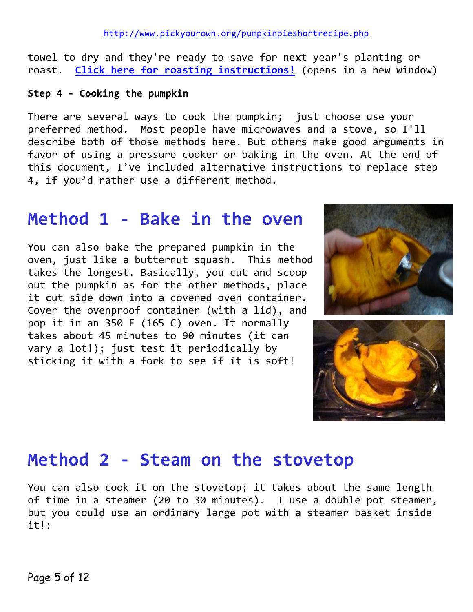towel to dry and they're ready to save for next year's planting or roast. **[Click here for roasting instructions!](http://www.pickyourown.org/pumpkinseeds.php)** (opens in a new window)

**Step 4 - Cooking the pumpkin**

There are several ways to cook the pumpkin; just choose use your preferred method. Most people have microwaves and a stove, so I'll describe both of those methods here. But others make good arguments in favor of using a pressure cooker or baking in the oven. At the end of this document, I've included alternative instructions to replace step 4, if you'd rather use a different method.

### **Method 1 - Bake in the oven**

You can also bake the prepared pumpkin in the oven, just like a butternut squash. This method takes the longest. Basically, you cut and scoop out the pumpkin as for the other methods, place it cut side down into a covered oven container. Cover the ovenproof container (with a lid), and pop it in an 350 F (165 C) oven. It normally takes about 45 minutes to 90 minutes (it can vary a lot!); just test it periodically by sticking it with a fork to see if it is soft!





### **Method 2 - Steam on the stovetop**

You can also cook it on the stovetop; it takes about the same length of time in a steamer (20 to 30 minutes). I use a double pot steamer, but you could use an ordinary large pot with a steamer basket inside it!: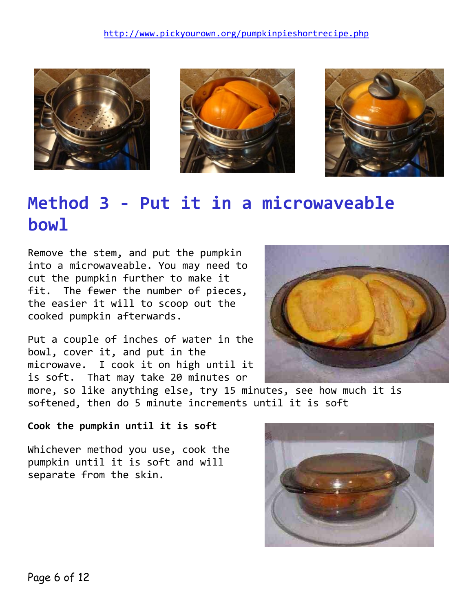





# **Method 3 - Put it in a microwaveable bowl**

Remove the stem, and put the pumpkin into a microwaveable. You may need to cut the pumpkin further to make it fit. The fewer the number of pieces, the easier it will to scoop out the cooked pumpkin afterwards.

Put a couple of inches of water in the bowl, cover it, and put in the microwave. I cook it on high until it is soft. That may take 20 minutes or



more, so like anything else, try 15 minutes, see how much it is softened, then do 5 minute increments until it is soft

**Cook the pumpkin until it is soft**

Whichever method you use, cook the pumpkin until it is soft and will separate from the skin.

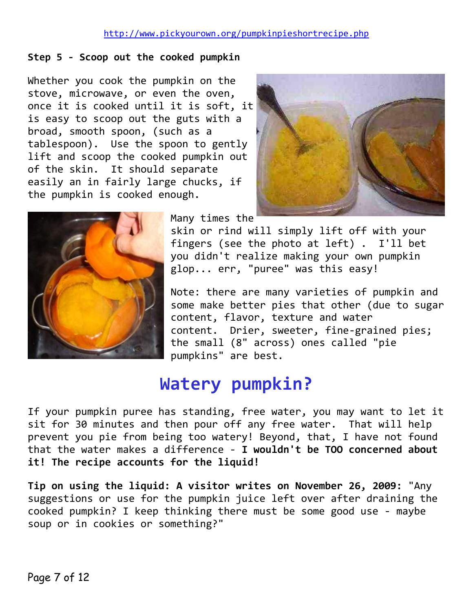### **Step 5 - Scoop out the cooked pumpkin**

Whether you cook the pumpkin on the stove, microwave, or even the oven, once it is cooked until it is soft, it is easy to scoop out the guts with a broad, smooth spoon, (such as a tablespoon). Use the spoon to gently lift and scoop the cooked pumpkin out of the skin. It should separate easily an in fairly large chucks, if the pumpkin is cooked enough.





Many times the

skin or rind will simply lift off with your fingers (see the photo at left) . I'll bet you didn't realize making your own pumpkin glop... err, "puree" was this easy!

Note: there are many varieties of pumpkin and some make better pies that other (due to sugar content, flavor, texture and water content. Drier, sweeter, fine-grained pies; the small (8" across) ones called "pie pumpkins" are best.

## **Watery pumpkin?**

If your pumpkin puree has standing, free water, you may want to let it sit for 30 minutes and then pour off any free water. That will help prevent you pie from being too watery! Beyond, that, I have not found that the water makes a difference - **I wouldn't be TOO concerned about it! The recipe accounts for the liquid!**

**Tip on using the liquid: A visitor writes on November 26, 2009:** "Any suggestions or use for the pumpkin juice left over after draining the cooked pumpkin? I keep thinking there must be some good use - maybe soup or in cookies or something?"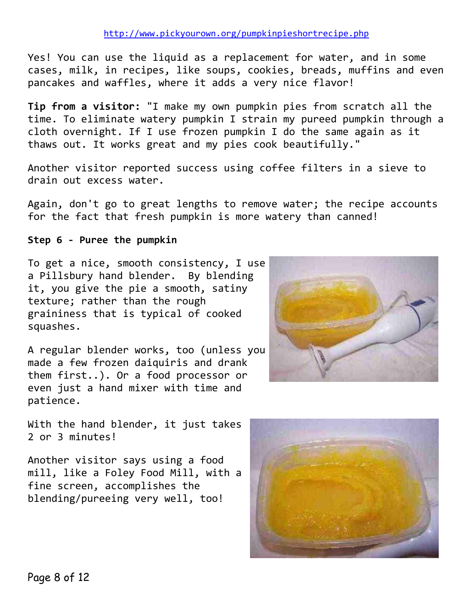Yes! You can use the liquid as a replacement for water, and in some cases, milk, in recipes, like soups, cookies, breads, muffins and even pancakes and waffles, where it adds a very nice flavor!

**Tip from a visitor:** "I make my own pumpkin pies from scratch all the time. To eliminate watery pumpkin I strain my pureed pumpkin through a cloth overnight. If I use frozen pumpkin I do the same again as it thaws out. It works great and my pies cook beautifully."

Another visitor reported success using coffee filters in a sieve to drain out excess water.

Again, don't go to great lengths to remove water; the recipe accounts for the fact that fresh pumpkin is more watery than canned!

### **Step 6 - Puree the pumpkin**

To get a nice, smooth consistency, I use a Pillsbury hand blender. By blending it, you give the pie a smooth, satiny texture; rather than the rough graininess that is typical of cooked squashes.

A regular blender works, too (unless you made a few frozen daiquiris and drank them first..). Or a food processor or even just a hand mixer with time and patience.



With the hand blender, it just takes 2 or 3 minutes!

Another visitor says using a food mill, like a Foley Food Mill, with a fine screen, accomplishes the blending/pureeing very well, too!

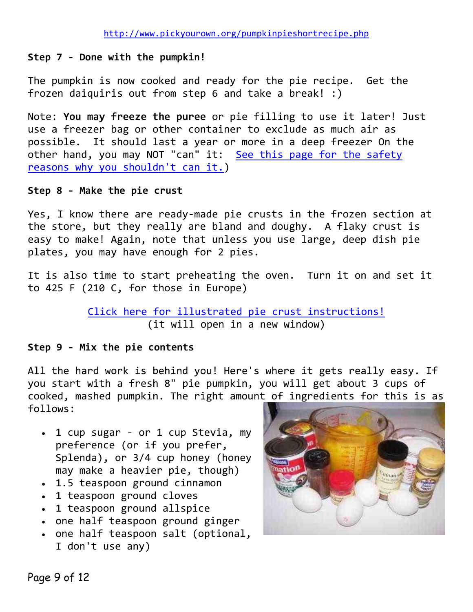### **Step 7 - Done with the pumpkin!**

The pumpkin is now cooked and ready for the pie recipe. Get the frozen daiquiris out from step 6 and take a break! :)

Note: **You may freeze the puree** or pie filling to use it later! Just use a freezer bag or other container to exclude as much air as possible. It should last a year or more in a deep freezer On the other hand, you may NOT "can" it: [See this page for the safety](http://www.pumpkinpatchesandmore.org/pumpkinprecautions.php)  [reasons why you shouldn't can it.\)](http://www.pumpkinpatchesandmore.org/pumpkinprecautions.php)

### **Step 8 - Make the pie crust**

Yes, I know there are ready-made pie crusts in the frozen section at the store, but they really are bland and doughy. A flaky crust is easy to make! Again, note that unless you use large, deep dish pie plates, you may have enough for 2 pies.

It is also time to start preheating the oven. Turn it on and set it to 425 F (210 C, for those in Europe)

### [Click here for illustrated pie crust instructions!](http://www.pickyourown.org/piecrust.php) (it will open in a new window)

### **Step 9 - Mix the pie contents**

All the hard work is behind you! Here's where it gets really easy. If you start with a fresh 8" pie pumpkin, you will get about 3 cups of cooked, mashed pumpkin. The right amount of ingredients for this is as follows:

- 1 cup sugar or 1 cup Stevia, my preference (or if you prefer, Splenda), or 3/4 cup honey (honey may make a heavier pie, though)
- 1.5 teaspoon ground cinnamon
- 1 teaspoon ground cloves
- 1 teaspoon ground allspice
- one half teaspoon ground ginger
- one half teaspoon salt (optional, I don't use any)

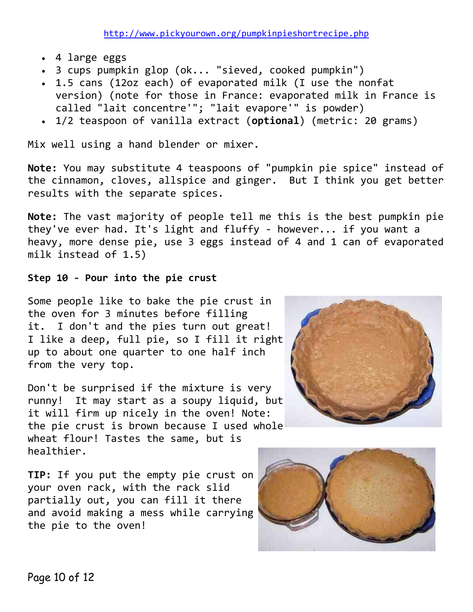- 4 large eggs
- 3 cups pumpkin glop (ok... "sieved, cooked pumpkin")
- 1.5 cans (12oz each) of evaporated milk (I use the nonfat version) (note for those in France: evaporated milk in France is called "lait concentre'"; "lait evapore'" is powder)
- 1/2 teaspoon of vanilla extract (**optional**) (metric: 20 grams)

Mix well using a hand blender or mixer.

**Note:** You may substitute 4 teaspoons of "pumpkin pie spice" instead of the cinnamon, cloves, allspice and ginger. But I think you get better results with the separate spices.

**Note:** The vast majority of people tell me this is the best pumpkin pie they've ever had. It's light and fluffy - however... if you want a heavy, more dense pie, use 3 eggs instead of 4 and 1 can of evaporated milk instead of 1.5)

### **Step 10 - Pour into the pie crust**

Some people like to bake the pie crust in the oven for 3 minutes before filling it. I don't and the pies turn out great! I like a deep, full pie, so I fill it right up to about one quarter to one half inch from the very top.

Don't be surprised if the mixture is very runny! It may start as a soupy liquid, but it will firm up nicely in the oven! Note: the pie crust is brown because I used whole wheat flour! Tastes the same, but is healthier.

**TIP:** If you put the empty pie crust on your oven rack, with the rack slid partially out, you can fill it there and avoid making a mess while carrying the pie to the oven!



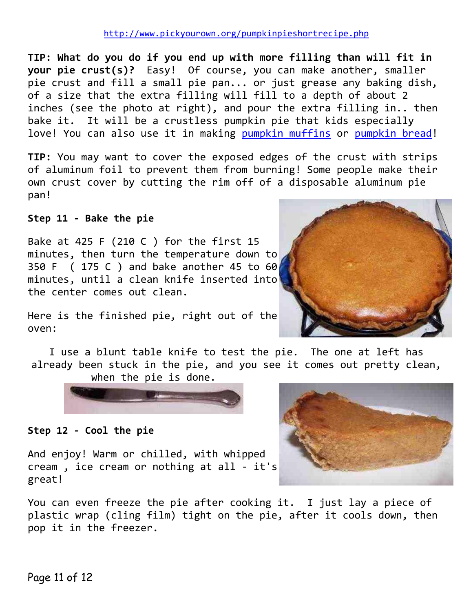**TIP: What do you do if you end up with more filling than will fit in your pie crust(s)?** Easy! Of course, you can make another, smaller pie crust and fill a small pie pan... or just grease any baking dish, of a size that the extra filling will fill to a depth of about 2 inches (see the photo at right), and pour the extra filling in.. then bake it. It will be a crustless pumpkin pie that kids especially love! You can also use it in making [pumpkin muffins](http://www.pickyourown.org/pumpkinpie.php#pumpkinmuffins) or [pumpkin bread!](http://www.pickyourown.org/pumpkinbread.php)

**TIP:** You may want to cover the exposed edges of the crust with strips of aluminum foil to prevent them from burning! Some people make their own crust cover by cutting the rim off of a disposable aluminum pie pan!

**Step 11 - Bake the pie**

Bake at 425 F (210 C ) for the first 15 minutes, then turn the temperature down to 350 F ( 175 C ) and bake another 45 to 60 minutes, until a clean knife inserted into the center comes out clean.



Here is the finished pie, right out of the oven:

I use a blunt table knife to test the pie. The one at left has already been stuck in the pie, and you see it comes out pretty clean, when the pie is done.



**Step 12 - Cool the pie**

And enjoy! Warm or chilled, with whipped cream , ice cream or nothing at all - it's great!



You can even freeze the pie after cooking it. I just lay a piece of plastic wrap (cling film) tight on the pie, after it cools down, then pop it in the freezer.